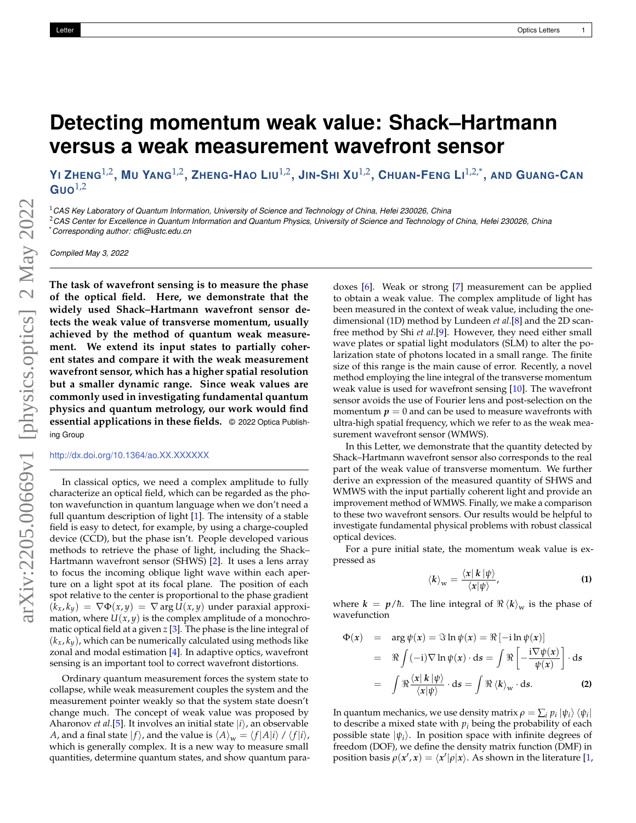## **Detecting momentum weak value: Shack–Hartmann versus a weak measurement wavefront sensor**

YI ZHENG $^{1,2}$ , MU YANG $^{1,2}$ , ZHENG-HAO LIU $^{1,2}$ , JIN-SHI XU $^{1,2}$ , CHUAN-FENG LI $^{1,2,*}$ , AND GUANG-CAN  $Guo<sup>1,2</sup>$ 

<sup>1</sup>*CAS Key Laboratory of Quantum Information, University of Science and Technology of China, Hefei 230026, China*

<sup>2</sup>*CAS Center for Excellence in Quantum Information and Quantum Physics, University of Science and Technology of China, Hefei 230026, China* \**Corresponding author: cfli@ustc.edu.cn*

*Compiled May 3, 2022*

**The task of wavefront sensing is to measure the phase of the optical field. Here, we demonstrate that the widely used Shack–Hartmann wavefront sensor detects the weak value of transverse momentum, usually achieved by the method of quantum weak measurement. We extend its input states to partially coherent states and compare it with the weak measurement wavefront sensor, which has a higher spatial resolution but a smaller dynamic range. Since weak values are commonly used in investigating fundamental quantum physics and quantum metrology, our work would find essential applications in these fields.** © 2022 Optica Publishing Group

<http://dx.doi.org/10.1364/ao.XX.XXXXXX>

In classical optics, we need a complex amplitude to fully characterize an optical field, which can be regarded as the photon wavefunction in quantum language when we don't need a full quantum description of light [\[1\]](#page-2-0). The intensity of a stable field is easy to detect, for example, by using a charge-coupled device (CCD), but the phase isn't. People developed various methods to retrieve the phase of light, including the Shack– Hartmann wavefront sensor (SHWS) [\[2\]](#page-2-1). It uses a lens array to focus the incoming oblique light wave within each aperture on a light spot at its focal plane. The position of each spot relative to the center is proportional to the phase gradient  $(k_x, k_y) = \nabla \Phi(x, y) = \nabla \arg U(x, y)$  under paraxial approximation, where  $U(x, y)$  is the complex amplitude of a monochromatic optical field at a given *z* [\[3\]](#page-2-2). The phase is the line integral of  $(k_x, k_y)$ , which can be numerically calculated using methods like zonal and modal estimation [\[4\]](#page-2-3). In adaptive optics, wavefront sensing is an important tool to correct wavefront distortions.

Ordinary quantum measurement forces the system state to collapse, while weak measurement couples the system and the measurement pointer weakly so that the system state doesn't change much. The concept of weak value was proposed by Aharonov *et al*.[\[5\]](#page-2-4). It involves an initial state  $|i\rangle$ , an observable *A*, and a final state  $|f\rangle$ , and the value is  $\langle A \rangle_{\mathbf{w}} = \langle f | A | i \rangle / \langle f | i \rangle$ , which is generally complex. It is a new way to measure small quantities, determine quantum states, and show quantum paradoxes [\[6\]](#page-2-5). Weak or strong [\[7\]](#page-2-6) measurement can be applied to obtain a weak value. The complex amplitude of light has been measured in the context of weak value, including the onedimensional (1D) method by Lundeen *et al*.[\[8\]](#page-2-7) and the 2D scanfree method by Shi *et al*.[\[9\]](#page-2-8). However, they need either small wave plates or spatial light modulators (SLM) to alter the polarization state of photons located in a small range. The finite size of this range is the main cause of error. Recently, a novel method employing the line integral of the transverse momentum weak value is used for wavefront sensing [\[10\]](#page-2-9). The wavefront sensor avoids the use of Fourier lens and post-selection on the momentum  $p = 0$  and can be used to measure wavefronts with ultra-high spatial frequency, which we refer to as the weak measurement wavefront sensor (WMWS).

In this Letter, we demonstrate that the quantity detected by Shack–Hartmann wavefront sensor also corresponds to the real part of the weak value of transverse momentum. We further derive an expression of the measured quantity of SHWS and WMWS with the input partially coherent light and provide an improvement method of WMWS. Finally, we make a comparison to these two wavefront sensors. Our results would be helpful to investigate fundamental physical problems with robust classical optical devices.

For a pure initial state, the momentum weak value is expressed as

<span id="page-0-0"></span>
$$
\langle k \rangle_{\rm w} = \frac{\langle x | k | \psi \rangle}{\langle x | \psi \rangle}, \tag{1}
$$

where  $k = p/\hbar$ . The line integral of  $\Re \langle k \rangle_w$  is the phase of wavefunction

$$
\Phi(x) = \arg \psi(x) = \Im \ln \psi(x) = \Re [-i \ln \psi(x)]
$$
  
=  $\Re \int (-i) \nabla \ln \psi(x) \cdot ds = \int \Re \left[ -\frac{i \nabla \psi(x)}{\psi(x)} \right] \cdot ds$   
=  $\int \Re \frac{\langle x | k | \psi \rangle}{\langle x | \psi \rangle} \cdot ds = \int \Re \langle k \rangle_w \cdot ds.$  (2)

In quantum mechanics, we use density matrix  $\rho = \sum_i p_i \ket{\psi_i}\bra{\psi_i}$ to describe a mixed state with  $p_i$  being the probability of each possible state  $|\psi_i\rangle$ . In position space with infinite degrees of freedom (DOF), we define the density matrix function (DMF) in position basis  $\rho(x', x) = \langle x' | \rho | x \rangle$ . As shown in the literature [\[1,](#page-2-0)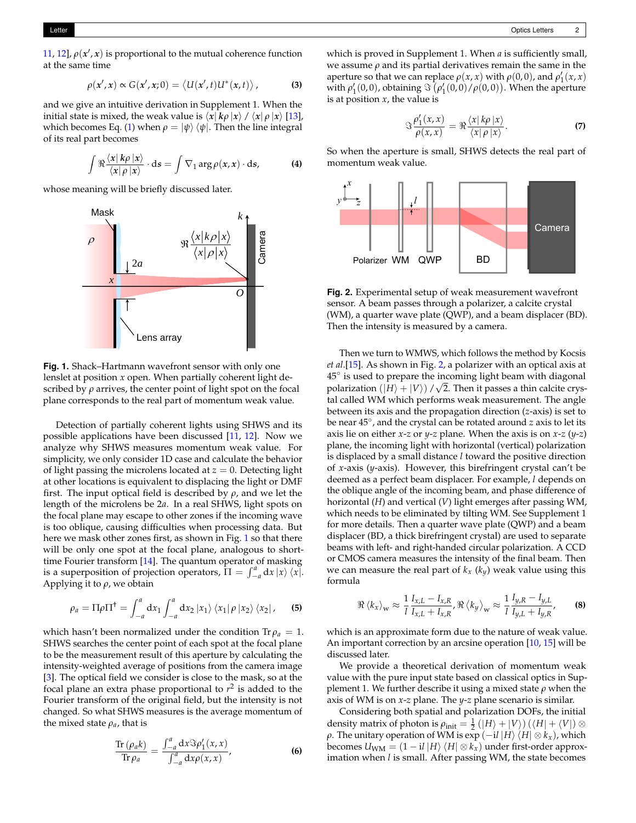[11,](#page-2-10) [12\]](#page-2-11),  $\rho(x', x)$  is proportional to the mutual coherence function at the same time

$$
\rho(x',x) \propto G(x',x;0) = \langle U(x',t)U^*(x,t) \rangle, \qquad (3)
$$

and we give an intuitive derivation in Supplement 1. When the initial state is mixed, the weak value is  $\langle x | k\rho | x \rangle / \langle x | \rho | x \rangle$  [\[13\]](#page-2-12), which becomes Eq. [\(1\)](#page-0-0) when  $\rho = |\psi\rangle \langle \psi|$ . Then the line integral of its real part becomes

<span id="page-1-3"></span>
$$
\int \Re \frac{\langle x | k \rho | x \rangle}{\langle x | \rho | x \rangle} \cdot ds = \int \nabla_1 \arg \rho(x, x) \cdot ds,
$$
 (4)

<span id="page-1-0"></span>whose meaning will be briefly discussed later.



**Fig. 1.** Shack–Hartmann wavefront sensor with only one lenslet at position *x* open. When partially coherent light described by *ρ* arrives, the center point of light spot on the focal plane corresponds to the real part of momentum weak value.

Detection of partially coherent lights using SHWS and its possible applications have been discussed [\[11,](#page-2-10) [12\]](#page-2-11). Now we analyze why SHWS measures momentum weak value. For simplicity, we only consider 1D case and calculate the behavior of light passing the microlens located at  $z = 0$ . Detecting light at other locations is equivalent to displacing the light or DMF first. The input optical field is described by *ρ*, and we let the length of the microlens be 2*a*. In a real SHWS, light spots on the focal plane may escape to other zones if the incoming wave is too oblique, causing difficulties when processing data. But here we mask other zones first, as shown in Fig. [1](#page-1-0) so that there will be only one spot at the focal plane, analogous to shorttime Fourier transform [\[14\]](#page-2-13). The quantum operator of masking is a superposition of projection operators,  $\Pi = \int_{-a}^{a} dx |x\rangle \langle x|$ . Applying it to *ρ*, we obtain

$$
\rho_a = \Pi \rho \Pi^{\dagger} = \int_{-a}^{a} dx_1 \int_{-a}^{a} dx_2 \left| x_1 \right\rangle \left\langle x_1 \right| \rho \left| x_2 \right\rangle \left\langle x_2 \right|, \quad (5)
$$

which hasn't been normalized under the condition  $\text{Tr} \rho_a = 1$ . SHWS searches the center point of each spot at the focal plane to be the measurement result of this aperture by calculating the intensity-weighted average of positions from the camera image [\[3\]](#page-2-2). The optical field we consider is close to the mask, so at the focal plane an extra phase proportional to *r* 2 is added to the Fourier transform of the original field, but the intensity is not changed. So what SHWS measures is the average momentum of the mixed state  $\rho_a$ , that is

$$
\frac{\text{Tr}\left(\rho_{a}k\right)}{\text{Tr}\,\rho_{a}}=\frac{\int_{-a}^{a}\mathrm{d}x\Im\rho_{1}'(x,x)}{\int_{-a}^{a}\mathrm{d}x\rho(x,x)},\tag{6}
$$

which is proved in Supplement 1. When *a* is sufficiently small, we assume  $\rho$  and its partial derivatives remain the same in the aperture so that we can replace  $\rho(x, x)$  with  $\rho(0, 0)$ , and  $\rho'_1(x, x)$ with  $\rho'_1(0,0)$ , obtaining  $\Im \left( \rho'_1(0,0) / \rho(0,0) \right)$ . When the aperture is at position *x*, the value is

$$
\Im \frac{\rho_1'(x,x)}{\rho(x,x)} = \Re \frac{\langle x | k\rho | x \rangle}{\langle x | \rho | x \rangle}.
$$
 (7)

<span id="page-1-1"></span>So when the aperture is small, SHWS detects the real part of momentum weak value.



**Fig. 2.** Experimental setup of weak measurement wavefront sensor. A beam passes through a polarizer, a calcite crystal (WM), a quarter wave plate (QWP), and a beam displacer (BD). Then the intensity is measured by a camera.

Then we turn to WMWS, which follows the method by Kocsis *et al*.[\[15\]](#page-2-14). As shown in Fig. [2,](#page-1-1) a polarizer with an optical axis at  $45^\circ$  is used to prepare the incoming light beam with diagonal polarization  $(\ket{H}+\ket{V})$  /  $\sqrt{2}$ . Then it passes a thin calcite crystal called WM which performs weak measurement. The angle between its axis and the propagation direction (*z*-axis) is set to be near 45◦ , and the crystal can be rotated around *z* axis to let its axis lie on either *x*-*z* or *y*-*z* plane. When the axis is on *x*-*z* (*y*-*z*) plane, the incoming light with horizontal (vertical) polarization is displaced by a small distance *l* toward the positive direction of *x*-axis (*y*-axis). However, this birefringent crystal can't be deemed as a perfect beam displacer. For example, *l* depends on the oblique angle of the incoming beam, and phase difference of horizontal (*H*) and vertical (*V*) light emerges after passing WM, which needs to be eliminated by tilting WM. See Supplement 1 for more details. Then a quarter wave plate (QWP) and a beam displacer (BD, a thick birefringent crystal) are used to separate beams with left- and right-handed circular polarization. A CCD or CMOS camera measures the intensity of the final beam. Then we can measure the real part of  $k_x$  ( $k_y$ ) weak value using this formula

<span id="page-1-2"></span>
$$
\Re \left\langle k_x \right\rangle_W \approx \frac{1}{l} \frac{I_{x,L} - I_{x,R}}{I_{x,L} + I_{x,R}}, \Re \left\langle k_y \right\rangle_W \approx \frac{1}{l} \frac{I_{y,R} - I_{y,L}}{I_{y,L} + I_{y,R}}, \quad (8)
$$

which is an approximate form due to the nature of weak value. An important correction by an arcsine operation [\[10,](#page-2-9) [15\]](#page-2-14) will be discussed later.

We provide a theoretical derivation of momentum weak value with the pure input state based on classical optics in Supplement 1. We further describe it using a mixed state *ρ* when the axis of WM is on *x*-*z* plane. The *y*-*z* plane scenario is similar.

Considering both spatial and polarization DOFs, the initial density matrix of photon is  $\rho_{init} = \frac{1}{2} (|H\rangle + |V\rangle) (\langle H| + \langle V|) \otimes$ *ρ*. The unitary operation of WM is exp (−i*l* |*H*)  $\langle H | \otimes k_x \rangle$ , which becomes  $U_{WM} = (1 - iI |H\rangle \langle H| \otimes k_x)$  under first-order approximation when *l* is small. After passing WM, the state becomes